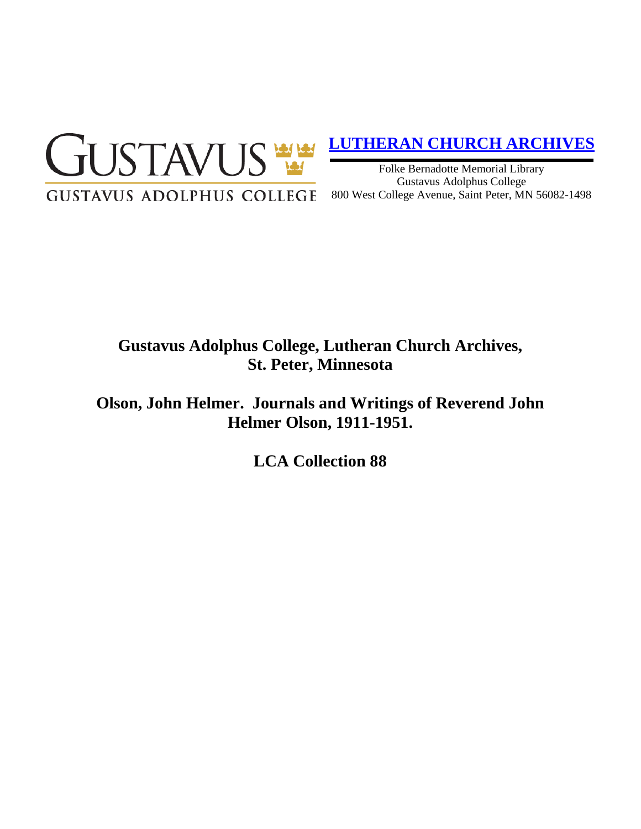

# **[LUTHERAN CHURCH ARCHIVES](http://gustavus.edu/academics/library/archives/)**

Folke Bernadotte Memorial Library Gustavus Adolphus College 800 West College Avenue, Saint Peter, MN 56082-1498

# **Gustavus Adolphus College, Lutheran Church Archives, St. Peter, Minnesota**

**Olson, John Helmer. Journals and Writings of Reverend John Helmer Olson, 1911-1951.**

**LCA Collection 88**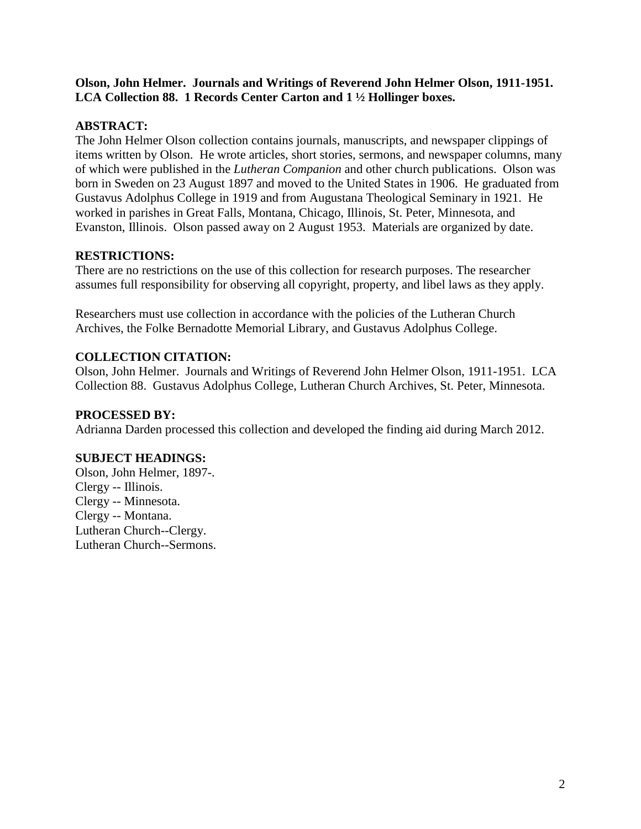#### **Olson, John Helmer. Journals and Writings of Reverend John Helmer Olson, 1911-1951. LCA Collection 88. 1 Records Center Carton and 1 ½ Hollinger boxes.**

### **ABSTRACT:**

The John Helmer Olson collection contains journals, manuscripts, and newspaper clippings of items written by Olson. He wrote articles, short stories, sermons, and newspaper columns, many of which were published in the *Lutheran Companion* and other church publications. Olson was born in Sweden on 23 August 1897 and moved to the United States in 1906. He graduated from Gustavus Adolphus College in 1919 and from Augustana Theological Seminary in 1921. He worked in parishes in Great Falls, Montana, Chicago, Illinois, St. Peter, Minnesota, and Evanston, Illinois. Olson passed away on 2 August 1953. Materials are organized by date.

## **RESTRICTIONS:**

There are no restrictions on the use of this collection for research purposes. The researcher assumes full responsibility for observing all copyright, property, and libel laws as they apply.

Researchers must use collection in accordance with the policies of the Lutheran Church Archives, the Folke Bernadotte Memorial Library, and Gustavus Adolphus College.

## **COLLECTION CITATION:**

Olson, John Helmer. Journals and Writings of Reverend John Helmer Olson, 1911-1951. LCA Collection 88. Gustavus Adolphus College, Lutheran Church Archives, St. Peter, Minnesota.

### **PROCESSED BY:**

Adrianna Darden processed this collection and developed the finding aid during March 2012.

### **SUBJECT HEADINGS:**

Olson, John Helmer, 1897-. Clergy -- Illinois. Clergy -- Minnesota. Clergy -- Montana. Lutheran Church--Clergy. Lutheran Church--Sermons.